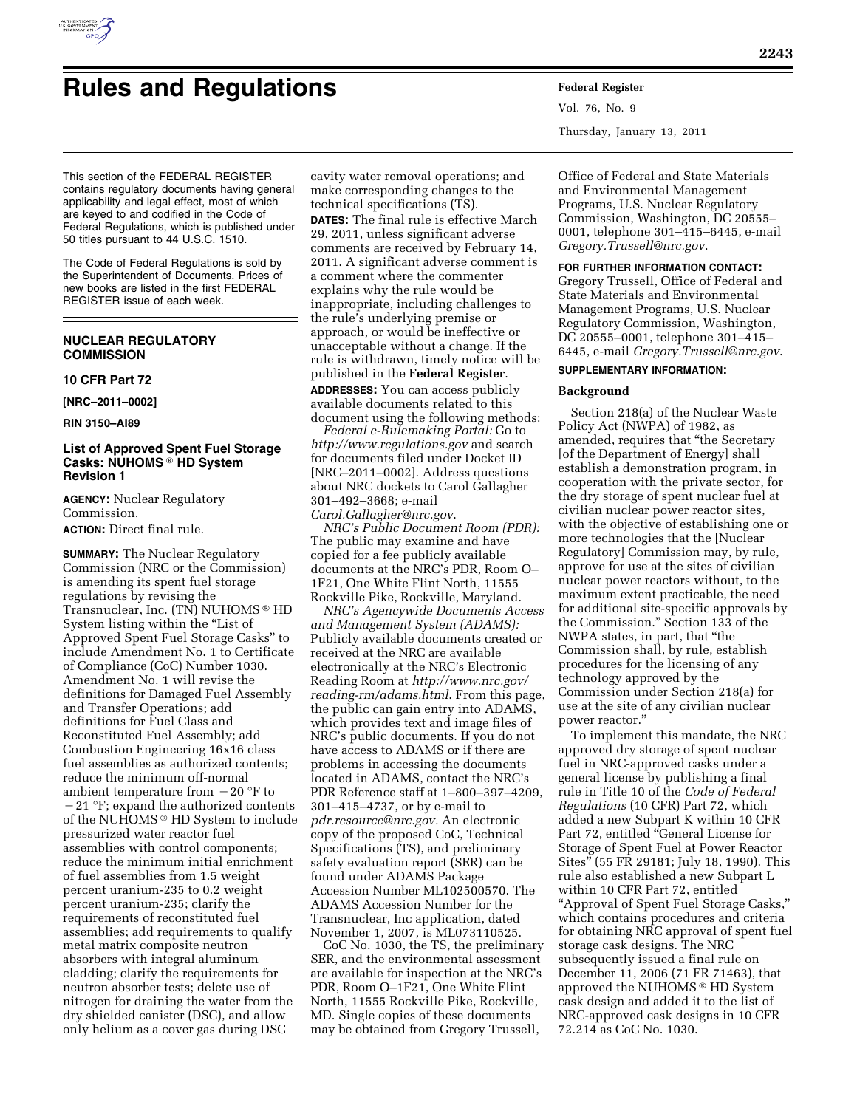

# **Rules and Regulations Federal Register**

Vol. 76, No. 9 Thursday, January 13, 2011

This section of the FEDERAL REGISTER contains regulatory documents having general applicability and legal effect, most of which are keyed to and codified in the Code of Federal Regulations, which is published under 50 titles pursuant to 44 U.S.C. 1510.

The Code of Federal Regulations is sold by the Superintendent of Documents. Prices of new books are listed in the first FEDERAL REGISTER issue of each week.

# **NUCLEAR REGULATORY COMMISSION**

### **10 CFR Part 72**

**[NRC–2011–0002]** 

# **RIN 3150–AI89**

# **List of Approved Spent Fuel Storage Casks: NUHOMS** ® **HD System Revision 1**

**AGENCY:** Nuclear Regulatory Commission.

**ACTION:** Direct final rule.

**SUMMARY:** The Nuclear Regulatory Commission (NRC or the Commission) is amending its spent fuel storage regulations by revising the Transnuclear, Inc. (TN) NUHOMS ® HD System listing within the "List of Approved Spent Fuel Storage Casks'' to include Amendment No. 1 to Certificate of Compliance (CoC) Number 1030. Amendment No. 1 will revise the definitions for Damaged Fuel Assembly and Transfer Operations; add definitions for Fuel Class and Reconstituted Fuel Assembly; add Combustion Engineering 16x16 class fuel assemblies as authorized contents; reduce the minimum off-normal ambient temperature from  $-20$  °F to  $-21$  °F; expand the authorized contents of the NUHOMS ® HD System to include pressurized water reactor fuel assemblies with control components; reduce the minimum initial enrichment of fuel assemblies from 1.5 weight percent uranium-235 to 0.2 weight percent uranium-235; clarify the requirements of reconstituted fuel assemblies; add requirements to qualify metal matrix composite neutron absorbers with integral aluminum cladding; clarify the requirements for neutron absorber tests; delete use of nitrogen for draining the water from the dry shielded canister (DSC), and allow only helium as a cover gas during DSC

cavity water removal operations; and make corresponding changes to the technical specifications (TS). **DATES:** The final rule is effective March 29, 2011, unless significant adverse comments are received by February 14, 2011. A significant adverse comment is a comment where the commenter explains why the rule would be inappropriate, including challenges to the rule's underlying premise or approach, or would be ineffective or unacceptable without a change. If the rule is withdrawn, timely notice will be published in the **Federal Register**. **ADDRESSES:** You can access publicly available documents related to this

document using the following methods: *Federal e-Rulemaking Portal:* Go to

*<http://www.regulations.gov>* and search for documents filed under Docket ID [NRC–2011–0002]. Address questions about NRC dockets to Carol Gallagher 301–492–3668; e-mail

*[Carol.Gallagher@nrc.gov](mailto:Carol.Gallagher@nrc.gov)*. *NRC's Public Document Room (PDR):*  The public may examine and have copied for a fee publicly available documents at the NRC's PDR, Room O– 1F21, One White Flint North, 11555 Rockville Pike, Rockville, Maryland.

*NRC's Agencywide Documents Access and Management System (ADAMS):*  Publicly available documents created or received at the NRC are available electronically at the NRC's Electronic Reading Room at *[http://www.nrc.gov/](http://www.nrc.gov/reading-rm/adams.html)  [reading-rm/adams.html](http://www.nrc.gov/reading-rm/adams.html)*. From this page, the public can gain entry into ADAMS, which provides text and image files of NRC's public documents. If you do not have access to ADAMS or if there are problems in accessing the documents located in ADAMS, contact the NRC's PDR Reference staff at 1–800–397–4209, 301–415–4737, or by e-mail to *[pdr.resource@nrc.gov.](mailto:pdr.resource@nrc.gov)* An electronic copy of the proposed CoC, Technical Specifications (TS), and preliminary safety evaluation report (SER) can be found under ADAMS Package Accession Number ML102500570. The ADAMS Accession Number for the Transnuclear, Inc application, dated November 1, 2007, is ML073110525.

CoC No. 1030, the TS, the preliminary SER, and the environmental assessment are available for inspection at the NRC's PDR, Room O–1F21, One White Flint North, 11555 Rockville Pike, Rockville, MD. Single copies of these documents may be obtained from Gregory Trussell,

Office of Federal and State Materials and Environmental Management Programs, U.S. Nuclear Regulatory Commission, Washington, DC 20555– 0001, telephone 301–415–6445, e-mail *[Gregory.Trussell@nrc.gov](mailto:Gregory.Trussell@nrc.gov)*.

# **FOR FURTHER INFORMATION CONTACT:**

Gregory Trussell, Office of Federal and State Materials and Environmental Management Programs, U.S. Nuclear Regulatory Commission, Washington, DC 20555–0001, telephone 301–415– 6445, e-mail *[Gregory.Trussell@nrc.gov](mailto:Gregory.Trussell@nrc.gov)*.

# **SUPPLEMENTARY INFORMATION:**

### **Background**

Section 218(a) of the Nuclear Waste Policy Act (NWPA) of 1982, as amended, requires that ''the Secretary [of the Department of Energy] shall establish a demonstration program, in cooperation with the private sector, for the dry storage of spent nuclear fuel at civilian nuclear power reactor sites, with the objective of establishing one or more technologies that the [Nuclear Regulatory] Commission may, by rule, approve for use at the sites of civilian nuclear power reactors without, to the maximum extent practicable, the need for additional site-specific approvals by the Commission.'' Section 133 of the NWPA states, in part, that ''the Commission shall, by rule, establish procedures for the licensing of any technology approved by the Commission under Section 218(a) for use at the site of any civilian nuclear power reactor.''

To implement this mandate, the NRC approved dry storage of spent nuclear fuel in NRC-approved casks under a general license by publishing a final rule in Title 10 of the *Code of Federal Regulations* (10 CFR) Part 72, which added a new Subpart K within 10 CFR Part 72, entitled "General License for Storage of Spent Fuel at Power Reactor Sites'' (55 FR 29181; July 18, 1990). This rule also established a new Subpart L within 10 CFR Part 72, entitled ''Approval of Spent Fuel Storage Casks,'' which contains procedures and criteria for obtaining NRC approval of spent fuel storage cask designs. The NRC subsequently issued a final rule on December 11, 2006 (71 FR 71463), that approved the NUHOMS ® HD System cask design and added it to the list of NRC-approved cask designs in 10 CFR 72.214 as CoC No. 1030.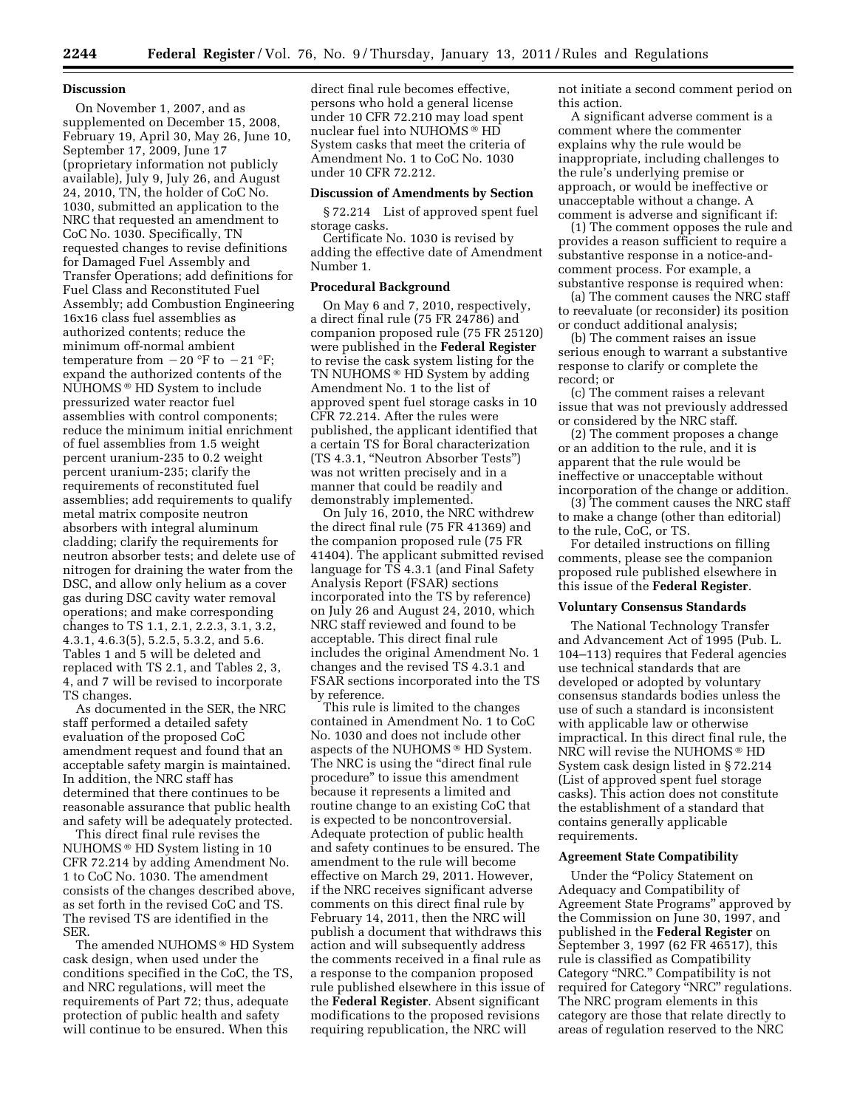#### **Discussion**

On November 1, 2007, and as supplemented on December 15, 2008, February 19, April 30, May 26, June 10, September 17, 2009, June 17 (proprietary information not publicly available), July 9, July 26, and August 24, 2010, TN, the holder of CoC No. 1030, submitted an application to the NRC that requested an amendment to CoC No. 1030. Specifically, TN requested changes to revise definitions for Damaged Fuel Assembly and Transfer Operations; add definitions for Fuel Class and Reconstituted Fuel Assembly; add Combustion Engineering 16x16 class fuel assemblies as authorized contents; reduce the minimum off-normal ambient temperature from  $-20$  °F to  $-21$  °F; expand the authorized contents of the NUHOMS ® HD System to include pressurized water reactor fuel assemblies with control components; reduce the minimum initial enrichment of fuel assemblies from 1.5 weight percent uranium-235 to 0.2 weight percent uranium-235; clarify the requirements of reconstituted fuel assemblies; add requirements to qualify metal matrix composite neutron absorbers with integral aluminum cladding; clarify the requirements for neutron absorber tests; and delete use of nitrogen for draining the water from the DSC, and allow only helium as a cover gas during DSC cavity water removal operations; and make corresponding changes to TS 1.1, 2.1, 2.2.3, 3.1, 3.2, 4.3.1, 4.6.3(5), 5.2.5, 5.3.2, and 5.6. Tables 1 and 5 will be deleted and replaced with TS 2.1, and Tables 2, 3, 4, and 7 will be revised to incorporate TS changes.

As documented in the SER, the NRC staff performed a detailed safety evaluation of the proposed CoC amendment request and found that an acceptable safety margin is maintained. In addition, the NRC staff has determined that there continues to be reasonable assurance that public health and safety will be adequately protected.

This direct final rule revises the NUHOMS ® HD System listing in 10 CFR 72.214 by adding Amendment No. 1 to CoC No. 1030. The amendment consists of the changes described above, as set forth in the revised CoC and TS. The revised TS are identified in the SER.

The amended NUHOMS ® HD System cask design, when used under the conditions specified in the CoC, the TS, and NRC regulations, will meet the requirements of Part 72; thus, adequate protection of public health and safety will continue to be ensured. When this

direct final rule becomes effective, persons who hold a general license under 10 CFR 72.210 may load spent nuclear fuel into NUHOMS ® HD System casks that meet the criteria of Amendment No. 1 to CoC No. 1030 under 10 CFR 72.212.

# **Discussion of Amendments by Section**

§ 72.214 List of approved spent fuel storage casks.

Certificate No. 1030 is revised by adding the effective date of Amendment Number 1.

#### **Procedural Background**

On May 6 and 7, 2010, respectively, a direct final rule (75 FR 24786) and companion proposed rule (75 FR 25120) were published in the **Federal Register**  to revise the cask system listing for the TN NUHOMS ® HD System by adding Amendment No. 1 to the list of approved spent fuel storage casks in 10 CFR 72.214. After the rules were published, the applicant identified that a certain TS for Boral characterization (TS 4.3.1, ''Neutron Absorber Tests'') was not written precisely and in a manner that could be readily and demonstrably implemented.

On July 16, 2010, the NRC withdrew the direct final rule (75 FR 41369) and the companion proposed rule (75 FR 41404). The applicant submitted revised language for TS 4.3.1 (and Final Safety Analysis Report (FSAR) sections incorporated into the TS by reference) on July 26 and August 24, 2010, which NRC staff reviewed and found to be acceptable. This direct final rule includes the original Amendment No. 1 changes and the revised TS 4.3.1 and FSAR sections incorporated into the TS by reference.

This rule is limited to the changes contained in Amendment No. 1 to CoC No. 1030 and does not include other aspects of the NUHOMS ® HD System. The NRC is using the "direct final rule" procedure'' to issue this amendment because it represents a limited and routine change to an existing CoC that is expected to be noncontroversial. Adequate protection of public health and safety continues to be ensured. The amendment to the rule will become effective on March 29, 2011. However, if the NRC receives significant adverse comments on this direct final rule by February 14, 2011, then the NRC will publish a document that withdraws this action and will subsequently address the comments received in a final rule as a response to the companion proposed rule published elsewhere in this issue of the **Federal Register**. Absent significant modifications to the proposed revisions requiring republication, the NRC will

not initiate a second comment period on this action.

A significant adverse comment is a comment where the commenter explains why the rule would be inappropriate, including challenges to the rule's underlying premise or approach, or would be ineffective or unacceptable without a change. A comment is adverse and significant if:

(1) The comment opposes the rule and provides a reason sufficient to require a substantive response in a notice-andcomment process. For example, a substantive response is required when:

(a) The comment causes the NRC staff to reevaluate (or reconsider) its position or conduct additional analysis;

(b) The comment raises an issue serious enough to warrant a substantive response to clarify or complete the record; or

(c) The comment raises a relevant issue that was not previously addressed or considered by the NRC staff.

(2) The comment proposes a change or an addition to the rule, and it is apparent that the rule would be ineffective or unacceptable without incorporation of the change or addition.

(3) The comment causes the NRC staff to make a change (other than editorial) to the rule, CoC, or TS.

For detailed instructions on filling comments, please see the companion proposed rule published elsewhere in this issue of the **Federal Register**.

#### **Voluntary Consensus Standards**

The National Technology Transfer and Advancement Act of 1995 (Pub. L. 104–113) requires that Federal agencies use technical standards that are developed or adopted by voluntary consensus standards bodies unless the use of such a standard is inconsistent with applicable law or otherwise impractical. In this direct final rule, the NRC will revise the NUHOMS ® HD System cask design listed in § 72.214 (List of approved spent fuel storage casks). This action does not constitute the establishment of a standard that contains generally applicable requirements.

#### **Agreement State Compatibility**

Under the ''Policy Statement on Adequacy and Compatibility of Agreement State Programs'' approved by the Commission on June 30, 1997, and published in the **Federal Register** on September 3, 1997 (62 FR 46517), this rule is classified as Compatibility Category ''NRC.'' Compatibility is not required for Category ''NRC'' regulations. The NRC program elements in this category are those that relate directly to areas of regulation reserved to the NRC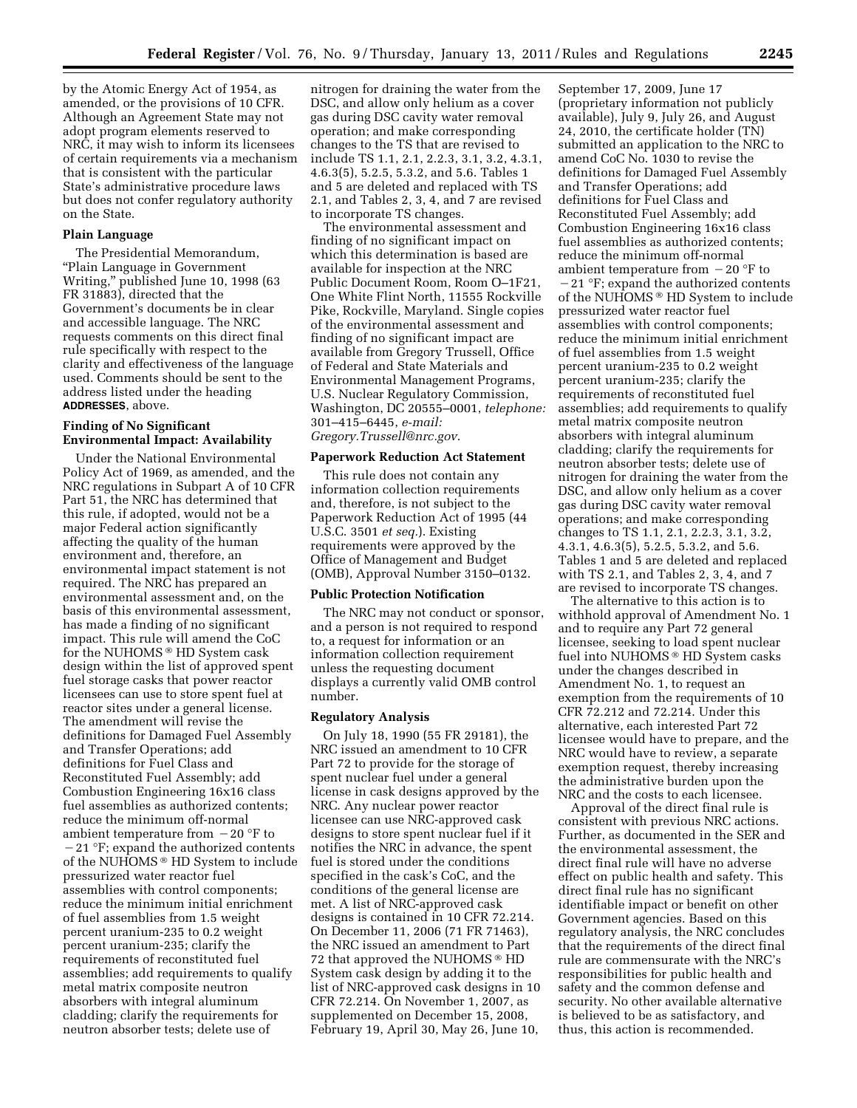by the Atomic Energy Act of 1954, as amended, or the provisions of 10 CFR. Although an Agreement State may not adopt program elements reserved to NRC, it may wish to inform its licensees of certain requirements via a mechanism that is consistent with the particular State's administrative procedure laws but does not confer regulatory authority on the State.

#### **Plain Language**

The Presidential Memorandum, ''Plain Language in Government Writing,'' published June 10, 1998 (63 FR 31883), directed that the Government's documents be in clear and accessible language. The NRC requests comments on this direct final rule specifically with respect to the clarity and effectiveness of the language used. Comments should be sent to the address listed under the heading **ADDRESSES**, above.

# **Finding of No Significant Environmental Impact: Availability**

Under the National Environmental Policy Act of 1969, as amended, and the NRC regulations in Subpart A of 10 CFR Part 51, the NRC has determined that this rule, if adopted, would not be a major Federal action significantly affecting the quality of the human environment and, therefore, an environmental impact statement is not required. The NRC has prepared an environmental assessment and, on the basis of this environmental assessment, has made a finding of no significant impact. This rule will amend the CoC for the NUHOMS ® HD System cask design within the list of approved spent fuel storage casks that power reactor licensees can use to store spent fuel at reactor sites under a general license. The amendment will revise the definitions for Damaged Fuel Assembly and Transfer Operations; add definitions for Fuel Class and Reconstituted Fuel Assembly; add Combustion Engineering 16x16 class fuel assemblies as authorized contents; reduce the minimum off-normal ambient temperature from  $-20$  °F to  $-21$  °F; expand the authorized contents of the NUHOMS ® HD System to include pressurized water reactor fuel assemblies with control components; reduce the minimum initial enrichment of fuel assemblies from 1.5 weight percent uranium-235 to 0.2 weight percent uranium-235; clarify the requirements of reconstituted fuel assemblies; add requirements to qualify metal matrix composite neutron absorbers with integral aluminum cladding; clarify the requirements for neutron absorber tests; delete use of

nitrogen for draining the water from the DSC, and allow only helium as a cover gas during DSC cavity water removal operation; and make corresponding changes to the TS that are revised to include TS 1.1, 2.1, 2.2.3, 3.1, 3.2, 4.3.1, 4.6.3(5), 5.2.5, 5.3.2, and 5.6. Tables 1 and 5 are deleted and replaced with TS 2.1, and Tables 2, 3, 4, and 7 are revised to incorporate TS changes.

The environmental assessment and finding of no significant impact on which this determination is based are available for inspection at the NRC Public Document Room, Room O–1F21, One White Flint North, 11555 Rockville Pike, Rockville, Maryland. Single copies of the environmental assessment and finding of no significant impact are available from Gregory Trussell, Office of Federal and State Materials and Environmental Management Programs, U.S. Nuclear Regulatory Commission, Washington, DC 20555–0001, *telephone:*  301–415–6445, *e-mail: [Gregory.Trussell@nrc.gov](mailto:Gregory.Trussell@nrc.gov)*.

# **Paperwork Reduction Act Statement**

This rule does not contain any information collection requirements and, therefore, is not subject to the Paperwork Reduction Act of 1995 (44 U.S.C. 3501 *et seq.*). Existing requirements were approved by the Office of Management and Budget (OMB), Approval Number 3150–0132.

#### **Public Protection Notification**

The NRC may not conduct or sponsor, and a person is not required to respond to, a request for information or an information collection requirement unless the requesting document displays a currently valid OMB control number.

#### **Regulatory Analysis**

On July 18, 1990 (55 FR 29181), the NRC issued an amendment to 10 CFR Part 72 to provide for the storage of spent nuclear fuel under a general license in cask designs approved by the NRC. Any nuclear power reactor licensee can use NRC-approved cask designs to store spent nuclear fuel if it notifies the NRC in advance, the spent fuel is stored under the conditions specified in the cask's CoC, and the conditions of the general license are met. A list of NRC-approved cask designs is contained in 10 CFR 72.214. On December 11, 2006 (71 FR 71463), the NRC issued an amendment to Part 72 that approved the NUHOMS ® HD System cask design by adding it to the list of NRC-approved cask designs in 10 CFR 72.214. On November 1, 2007, as supplemented on December 15, 2008, February 19, April 30, May 26, June 10,

September 17, 2009, June 17 (proprietary information not publicly available), July 9, July 26, and August 24, 2010, the certificate holder (TN) submitted an application to the NRC to amend CoC No. 1030 to revise the definitions for Damaged Fuel Assembly and Transfer Operations; add definitions for Fuel Class and Reconstituted Fuel Assembly; add Combustion Engineering 16x16 class fuel assemblies as authorized contents; reduce the minimum off-normal ambient temperature from  $-20$  °F to  $-21$  °F; expand the authorized contents of the NUHOMS ® HD System to include pressurized water reactor fuel assemblies with control components; reduce the minimum initial enrichment of fuel assemblies from 1.5 weight percent uranium-235 to 0.2 weight percent uranium-235; clarify the requirements of reconstituted fuel assemblies; add requirements to qualify metal matrix composite neutron absorbers with integral aluminum cladding; clarify the requirements for neutron absorber tests; delete use of nitrogen for draining the water from the DSC, and allow only helium as a cover gas during DSC cavity water removal operations; and make corresponding changes to TS 1.1, 2.1, 2.2.3, 3.1, 3.2, 4.3.1, 4.6.3(5), 5.2.5, 5.3.2, and 5.6. Tables 1 and 5 are deleted and replaced with TS 2.1, and Tables 2, 3, 4, and 7 are revised to incorporate TS changes.

The alternative to this action is to withhold approval of Amendment No. 1 and to require any Part 72 general licensee, seeking to load spent nuclear fuel into NUHOMS ® HD System casks under the changes described in Amendment No. 1, to request an exemption from the requirements of 10 CFR 72.212 and 72.214. Under this alternative, each interested Part 72 licensee would have to prepare, and the NRC would have to review, a separate exemption request, thereby increasing the administrative burden upon the NRC and the costs to each licensee.

Approval of the direct final rule is consistent with previous NRC actions. Further, as documented in the SER and the environmental assessment, the direct final rule will have no adverse effect on public health and safety. This direct final rule has no significant identifiable impact or benefit on other Government agencies. Based on this regulatory analysis, the NRC concludes that the requirements of the direct final rule are commensurate with the NRC's responsibilities for public health and safety and the common defense and security. No other available alternative is believed to be as satisfactory, and thus, this action is recommended.